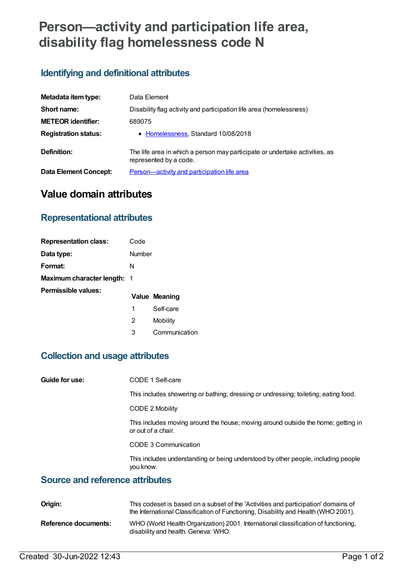# **Person—activity and participation life area, disability flag homelessness code N**

#### **Identifying and definitional attributes**

| Metadata item type:          | Data Element                                                                                          |
|------------------------------|-------------------------------------------------------------------------------------------------------|
| Short name:                  | Disability flag activity and participation life area (homelessness)                                   |
| <b>METEOR identifier:</b>    | 689075                                                                                                |
| <b>Registration status:</b>  | • Homelessness, Standard 10/08/2018                                                                   |
| Definition:                  | The life area in which a person may participate or undertake activities, as<br>represented by a code. |
| <b>Data Element Concept:</b> | Person-activity and participation life area                                                           |

### **Value domain attributes**

#### **Representational attributes**

| <b>Representation class:</b>       | Code   |                      |
|------------------------------------|--------|----------------------|
| Data type:                         | Number |                      |
| Format:                            | N      |                      |
| <b>Maximum character length: 1</b> |        |                      |
| Permissible values:                |        | <b>Value Meaning</b> |
|                                    | 1      | Self-care            |

- 2 Mobility
- 3 Communication

#### **Collection and usage attributes**

| Guide for use: | CODE 1 Self-care |
|----------------|------------------|
|----------------|------------------|

This includes showering or bathing; dressing or undressing; toileting; eating food.

CODE 2 Mobility

This includes moving around the house; moving around outside the home; getting in or out of a chair.

CODE 3 Communication

This includes understanding or being understood by other people, including people you know.

#### **Source and reference attributes**

| Origin:              | This codeset is based on a subset of the 'Activities and participation' domains of<br>the International Classification of Functioning, Disability and Health (WHO 2001). |
|----------------------|--------------------------------------------------------------------------------------------------------------------------------------------------------------------------|
| Reference documents: | WHO (World Health Organization) 2001. International classification of functioning,<br>disability and health. Geneva: WHO.                                                |